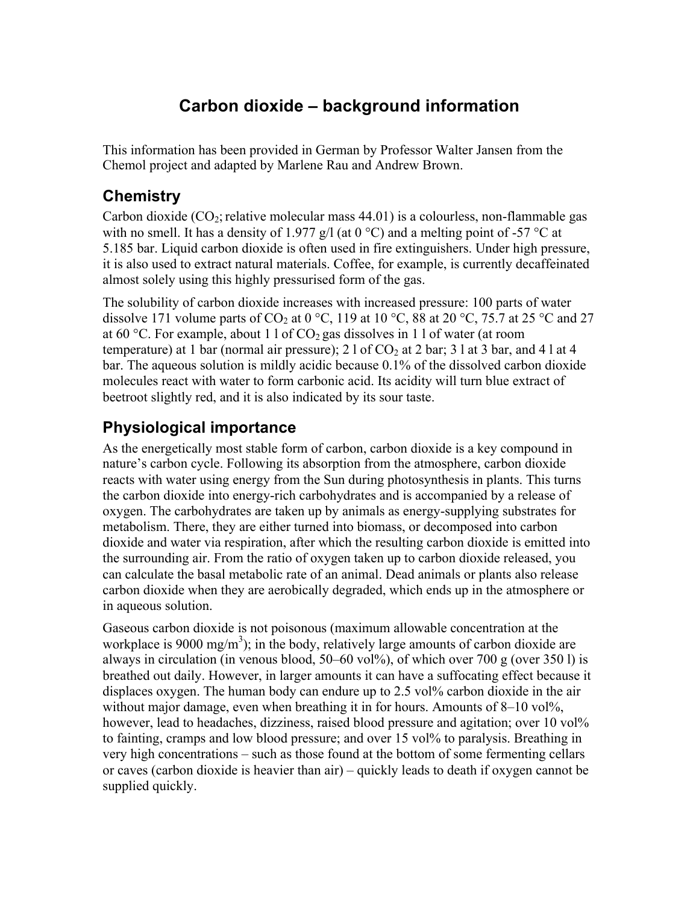# **Carbon dioxide – background information**

This information has been provided in German by Professor Walter Jansen from the Chemol project and adapted by Marlene Rau and Andrew Brown.

### **Chemistry**

Carbon dioxide  $(CO_2)$ ; relative molecular mass 44.01) is a colourless, non-flammable gas with no smell. It has a density of 1.977 g/l (at  $0^{\circ}$ C) and a melting point of -57  $^{\circ}$ C at 5.185 bar. Liquid carbon dioxide is often used in fire extinguishers. Under high pressure, it is also used to extract natural materials. Coffee, for example, is currently decaffeinated almost solely using this highly pressurised form of the gas.

The solubility of carbon dioxide increases with increased pressure: 100 parts of water dissolve 171 volume parts of CO<sub>2</sub> at 0 °C, 119 at 10 °C, 88 at 20 °C, 75.7 at 25 °C and 27 at 60 °C. For example, about 1 l of  $CO<sub>2</sub>$  gas dissolves in 1 l of water (at room temperature) at 1 bar (normal air pressure); 2 l of  $CO<sub>2</sub>$  at 2 bar; 3 l at 3 bar, and 4 l at 4 bar. The aqueous solution is mildly acidic because 0.1% of the dissolved carbon dioxide molecules react with water to form carbonic acid. Its acidity will turn blue extract of beetroot slightly red, and it is also indicated by its sour taste.

## **Physiological importance**

As the energetically most stable form of carbon, carbon dioxide is a key compound in nature's carbon cycle. Following its absorption from the atmosphere, carbon dioxide reacts with water using energy from the Sun during photosynthesis in plants. This turns the carbon dioxide into energy-rich carbohydrates and is accompanied by a release of oxygen. The carbohydrates are taken up by animals as energy-supplying substrates for metabolism. There, they are either turned into biomass, or decomposed into carbon dioxide and water via respiration, after which the resulting carbon dioxide is emitted into the surrounding air. From the ratio of oxygen taken up to carbon dioxide released, you can calculate the basal metabolic rate of an animal. Dead animals or plants also release carbon dioxide when they are aerobically degraded, which ends up in the atmosphere or in aqueous solution.

Gaseous carbon dioxide is not poisonous (maximum allowable concentration at the workplace is 9000 mg/m<sup>3</sup>); in the body, relatively large amounts of carbon dioxide are always in circulation (in venous blood,  $50-60$  vol%), of which over 700 g (over 350 l) is breathed out daily. However, in larger amounts it can have a suffocating effect because it displaces oxygen. The human body can endure up to 2.5 vol% carbon dioxide in the air without major damage, even when breathing it in for hours. Amounts of  $8-10$  vol<sup> $\%$ </sup>, however, lead to headaches, dizziness, raised blood pressure and agitation; over 10 vol<sup>1%</sup> to fainting, cramps and low blood pressure; and over 15 vol% to paralysis. Breathing in very high concentrations – such as those found at the bottom of some fermenting cellars or caves (carbon dioxide is heavier than air) – quickly leads to death if oxygen cannot be supplied quickly.